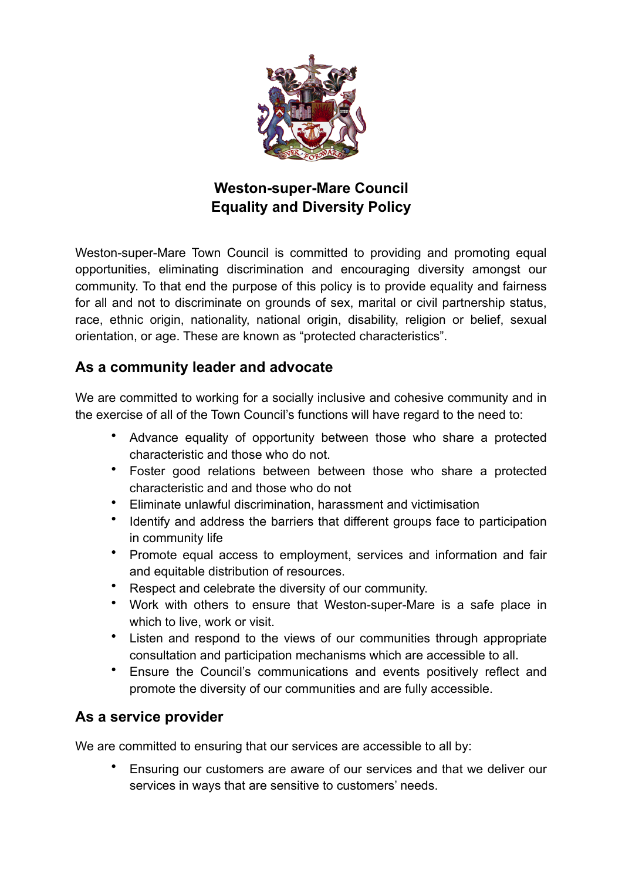

# **Weston-super-Mare Council Equality and Diversity Policy**

Weston-super-Mare Town Council is committed to providing and promoting equal opportunities, eliminating discrimination and encouraging diversity amongst our community. To that end the purpose of this policy is to provide equality and fairness for all and not to discriminate on grounds of sex, marital or civil partnership status, race, ethnic origin, nationality, national origin, disability, religion or belief, sexual orientation, or age. These are known as "protected characteristics".

### **As a community leader and advocate**

We are committed to working for a socially inclusive and cohesive community and in the exercise of all of the Town Council's functions will have regard to the need to:

- Advance equality of opportunity between those who share a protected characteristic and those who do not.
- Foster good relations between between those who share a protected characteristic and and those who do not
- Eliminate unlawful discrimination, harassment and victimisation
- Identify and address the barriers that different groups face to participation in community life
- Promote equal access to employment, services and information and fair and equitable distribution of resources.
- Respect and celebrate the diversity of our community.
- Work with others to ensure that Weston-super-Mare is a safe place in which to live, work or visit.
- Listen and respond to the views of our communities through appropriate consultation and participation mechanisms which are accessible to all.
- Ensure the Council's communications and events positively reflect and promote the diversity of our communities and are fully accessible.

## **As a service provider**

We are committed to ensuring that our services are accessible to all by:

• Ensuring our customers are aware of our services and that we deliver our services in ways that are sensitive to customers' needs.